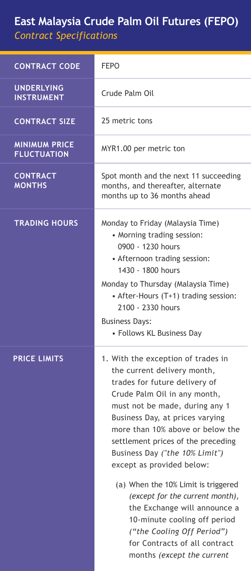## **East Malaysia Crude Palm Oil Futures (FEPO)** *Contract Specifications*

| <b>CONTRACT CODE</b>                       | <b>FFPO</b>                                                                                                                                                                                                                                                                                                                                                                                                                                                                                                                                                                             |
|--------------------------------------------|-----------------------------------------------------------------------------------------------------------------------------------------------------------------------------------------------------------------------------------------------------------------------------------------------------------------------------------------------------------------------------------------------------------------------------------------------------------------------------------------------------------------------------------------------------------------------------------------|
| <b>UNDERLYING</b><br><b>INSTRUMENT</b>     | Crude Palm Oil                                                                                                                                                                                                                                                                                                                                                                                                                                                                                                                                                                          |
| <b>CONTRACT SIZE</b>                       | 25 metric tons                                                                                                                                                                                                                                                                                                                                                                                                                                                                                                                                                                          |
| <b>MINIMUM PRICE</b><br><b>FLUCTUATION</b> | MYR1.00 per metric ton                                                                                                                                                                                                                                                                                                                                                                                                                                                                                                                                                                  |
| <b>CONTRACT</b><br><b>MONTHS</b>           | Spot month and the next 11 succeeding<br>months, and thereafter, alternate<br>months up to 36 months ahead                                                                                                                                                                                                                                                                                                                                                                                                                                                                              |
| <b>TRADING HOURS</b>                       | Monday to Friday (Malaysia Time)<br>• Morning trading session:<br>0900 - 1230 hours<br>• Afternoon trading session:<br>1430 - 1800 hours<br>Monday to Thursday (Malaysia Time)<br>• After-Hours (T+1) trading session:<br>2100 - 2330 hours<br><b>Business Days:</b><br>• Follows KL Business Day                                                                                                                                                                                                                                                                                       |
| <b>PRICE LIMITS</b>                        | 1. With the exception of trades in<br>the current delivery month,<br>trades for future delivery of<br>Crude Palm Oil in any month,<br>must not be made, during any 1<br>Business Day, at prices varying<br>more than 10% above or below the<br>settlement prices of the preceding<br>Business Day ("the 10% Limit")<br>except as provided below:<br>(a) When the 10% Limit is triggered<br>(except for the current month),<br>the Exchange will announce a<br>10-minute cooling off period<br>("the Cooling Off Period")<br>for Contracts of all contract<br>months (except the current |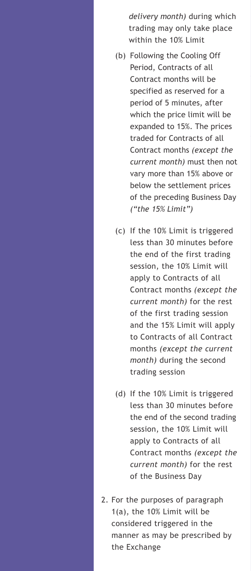*delivery month)* during which trading may only take place within the 10% Limit

- (b) Following the Cooling Off Period, Contracts of all Contract months will be specified as reserved for a period of 5 minutes, after which the price limit will be expanded to 15%. The prices traded for Contracts of all Contract months *(except the current month)* must then not vary more than 15% above or below the settlement prices of the preceding Business Day *("the 15% Limit")*
- (c) If the 10% Limit is triggered less than 30 minutes before the end of the first trading session, the 10% Limit will apply to Contracts of all Contract months *(except the current month)* for the rest of the first trading session and the 15% Limit will apply to Contracts of all Contract months *(except the current month)* during the second trading session
- (d) If the 10% Limit is triggered less than 30 minutes before the end of the second trading session, the 10% Limit will apply to Contracts of all Contract months *(except the current month)* for the rest of the Business Day
- 2. For the purposes of paragraph 1(a), the 10% Limit will be considered triggered in the manner as may be prescribed by the Exchange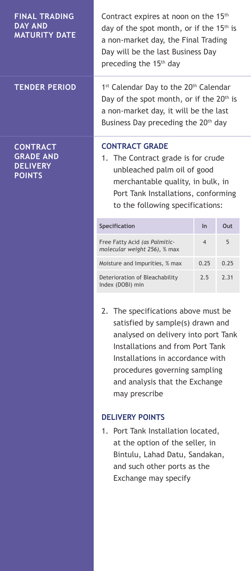| <b>FINAL TRADING</b><br><b>DAY AND</b><br><b>MATURITY DATE</b>          | Contract expires at noon on the 15 <sup>th</sup><br>day of the spot month, or if the 15 <sup>th</sup> is<br>a non-market day, the Final Trading<br>Day will be the last Business Day<br>preceding the 15 <sup>th</sup> day                                                 |                |      |
|-------------------------------------------------------------------------|----------------------------------------------------------------------------------------------------------------------------------------------------------------------------------------------------------------------------------------------------------------------------|----------------|------|
| <b>TENDER PERIOD</b>                                                    | 1st Calendar Day to the 20th Calendar<br>Day of the spot month, or if the 20 <sup>th</sup> is<br>a non-market day, it will be the last<br>Business Day preceding the 20 <sup>th</sup> day                                                                                  |                |      |
| <b>CONTRACT</b><br><b>GRADE AND</b><br><b>DELIVERY</b><br><b>POINTS</b> | <b>CONTRACT GRADE</b><br>1. The Contract grade is for crude<br>unbleached palm oil of good<br>merchantable quality, in bulk, in<br>Port Tank Installations, conforming<br>to the following specifications:                                                                 |                |      |
|                                                                         | Specification                                                                                                                                                                                                                                                              | ln             | Out  |
|                                                                         | Free Fatty Acid (as Palmitic-<br>molecular weight 256), % max                                                                                                                                                                                                              | $\overline{4}$ | 5    |
|                                                                         | Moisture and Impurities, % max                                                                                                                                                                                                                                             | 0.25           | 0.25 |
|                                                                         | Deterioration of Bleachability<br>Index (DOBI) min                                                                                                                                                                                                                         | 2.5            | 2.31 |
|                                                                         | 2. The specifications above must be<br>satisfied by sample(s) drawn and<br>analysed on delivery into port Tank<br>Installations and from Port Tank<br>Installations in accordance with<br>procedures governing sampling<br>and analysis that the Exchange<br>may prescribe |                |      |
|                                                                         | <b>DELIVERY POINTS</b>                                                                                                                                                                                                                                                     |                |      |
|                                                                         | 1.<br>Port Tank Installation located,<br>at the option of the seller, in<br>Bintulu, Lahad Datu, Sandakan,<br>and such other ports as the<br>Exchange may specify                                                                                                          |                |      |